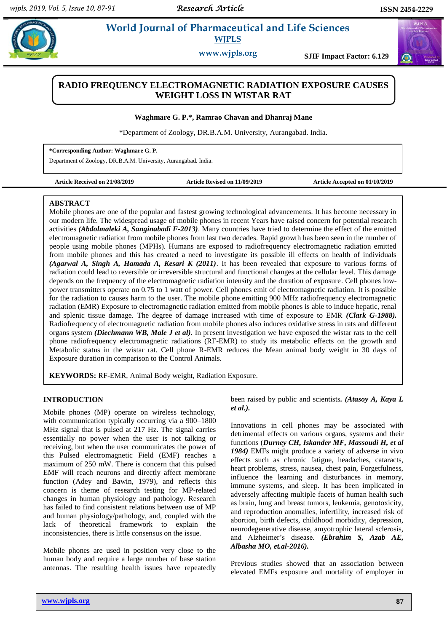$\bigodot$ 

# **Property** *A**World Journal of Pharmaceutical and Life Sciences* **WJPLS**

**www.wjpls.org SJIF Impact Factor: 6.129**

## **RADIO FREQUENCY ELECTROMAGNETIC RADIATION EXPOSURE CAUSES WEIGHT LOSS IN WISTAR RAT**

**Waghmare G. P.\*, Ramrao Chavan and Dhanraj Mane**

\*Department of Zoology, DR.B.A.M. University, Aurangabad. India.

**\*Corresponding Author: Waghmare G. P.**

Department of Zoology, DR.B.A.M. University, Aurangabad. India.

**Article Received on 21/08/2019 Article Revised on 11/09/2019 Article Accepted on 01/10/2019**

#### **ABSTRACT**

Mobile phones are one of the popular and fastest growing technological advancements. It has become necessary in our modern life. The widespread usage of mobile phones in recent Years have raised concern for potential research activities *(Abdolmaleki A, Sanginabadi F-2013)*. Many countries have tried to determine the effect of the emitted electromagnetic radiation from mobile phones from last two decades. Rapid growth has been seen in the number of people using mobile phones (MPHs). Humans are exposed to radiofrequency electromagnetic radiation emitted from mobile phones and this has created a need to investigate its possible ill effects on health of individuals *(Agarwal A, Singh A, Hamada A, Kesari K (2011)*. It has been revealed that exposure to various forms of radiation could lead to reversible or irreversible structural and functional changes at the cellular level. This damage depends on the frequency of the electromagnetic radiation intensity and the duration of exposure. Cell phones lowpower transmitters operate on 0.75 to 1 watt of power. Cell phones emit of electromagnetic radiation. It is possible for the radiation to causes harm to the user. The mobile phone emitting 900 MHz radiofrequency electromagnetic radiation (EMR) Exposure to electromagnetic radiation emitted from mobile phones is able to induce hepatic, renal and splenic tissue damage. The degree of damage increased with time of exposure to EMR *(Clark G-1988).* Radiofrequency of electromagnetic radiation from mobile phones also induces oxidative stress in rats and different organs system *(Diechmann WB, Male J et al).* In present investigation we have exposed the wistar rats to the cell phone radiofrequency electromagnetic radiations (RF-EMR) to study its metabolic effects on the growth and Metabolic status in the wistar rat. Cell phone R-EMR reduces the Mean animal body weight in 30 days of Exposure duration in comparison to the Control Animals.

**KEYWORDS:** RF-EMR, Animal Body weight, Radiation Exposure.

## **INTRODUCTION**

Mobile phones (MP) operate on wireless technology, with communication typically occurring via a 900–1800 MHz signal that is pulsed at 217 Hz. The signal carries essentially no power when the user is not talking or receiving, but when the user communicates the power of this Pulsed electromagnetic Field (EMF) reaches a maximum of 250 mW. There is concern that this pulsed EMF will reach neurons and directly affect membrane function (Adey and Bawin, 1979), and reflects this concern is theme of research testing for MP-related changes in human physiology and pathology. Research has failed to find consistent relations between use of MP and human physiology/pathology, and, coupled with the lack of theoretical framework to explain the inconsistencies, there is little consensus on the issue.

Mobile phones are used in position very close to the human body and require a large number of base station antennas. The resulting health issues have repeatedly

**www.wjpls.org 87**

been raised by public and scientists*. (Atasoy A, Kaya L et al.).*

Innovations in cell phones may be associated with detrimental effects on various organs, systems and their functions (*Durney CH, Iskander MF, Massoudi H, et al 1984)* EMFs might produce a variety of adverse in vivo effects such as chronic fatigue, headaches, cataracts, heart problems, stress, nausea, chest pain, Forgetfulness, influence the learning and disturbances in memory, immune systems, and sleep. It has been implicated in adversely affecting multiple facets of human health such as brain, lung and breast tumors, leukemia, genotoxicity, and reproduction anomalies, infertility, increased risk of abortion, birth defects, childhood morbidity, depression, neurodegenerative disease, amyotrophic lateral sclerosis, and Alzheimer's disease. *(Ebrahim S, Azab AE, Albasha MO, et.al-2016).*

Previous studies showed that an association between elevated EMFs exposure and mortality of employer in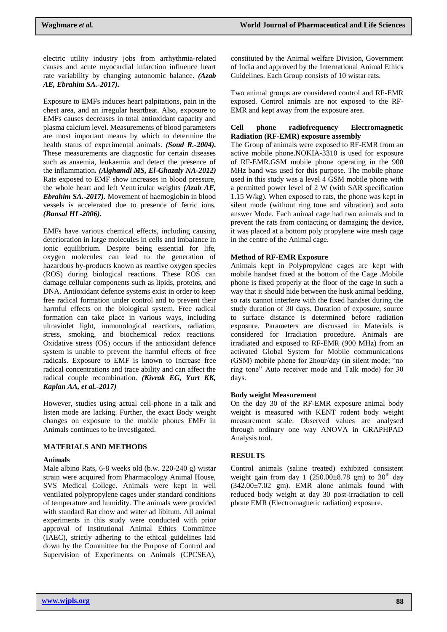electric utility industry jobs from arrhythmia-related causes and acute myocardial infarction influence heart rate variability by changing autonomic balance. *(Azab AE, Ebrahim SA.-2017).*

Exposure to EMFs induces heart palpitations, pain in the chest area, and an irregular heartbeat. Also, exposure to EMFs causes decreases in total antioxidant capacity and plasma calcium level. Measurements of blood parameters are most important means by which to determine the health status of experimental animals. *(Soud R.-2004).* These measurements are diagnostic for certain diseases such as anaemia, leukaemia and detect the presence of the inflammation*. (Alghamdi MS, El-Ghazaly NA-2012)* Rats exposed to EMF show increases in blood pressure, the whole heart and left Ventricular weights *(Azab AE, Ebrahim SA.-2017).* Movement of haemoglobin in blood vessels is accelerated due to presence of ferric ions. *(Bansal HL-2006).*

EMFs have various chemical effects, including causing deterioration in large molecules in cells and imbalance in ionic equilibrium. Despite being essential for life, oxygen molecules can lead to the generation of hazardous by-products known as reactive oxygen species (ROS) during biological reactions. These ROS can damage cellular components such as lipids, proteins, and DNA. Antioxidant defence systems exist in order to keep free radical formation under control and to prevent their harmful effects on the biological system. Free radical formation can take place in various ways, including ultraviolet light, immunological reactions, radiation, stress, smoking, and biochemical redox reactions. Oxidative stress (OS) occurs if the antioxidant defence system is unable to prevent the harmful effects of free radicals. Exposure to EMF is known to increase free radical concentrations and trace ability and can affect the radical couple recombination. *(Kivrak EG, Yurt KK, Kaplan AA, et al.-2017)*

However, studies using actual cell-phone in a talk and listen mode are lacking. Further, the exact Body weight changes on exposure to the mobile phones EMFr in Animals continues to be investigated.

## **MATERIALS AND METHODS**

## **Animals**

Male albino Rats, 6-8 weeks old (b.w. 220-240 g) wistar strain were acquired from Pharmacology Animal House, SVS Medical College. Animals were kept in well ventilated polypropylene cages under standard conditions of temperature and humidity. The animals were provided with standard Rat chow and water ad libitum. All animal experiments in this study were conducted with prior approval of Institutional Animal Ethics Committee (IAEC), strictly adhering to the ethical guidelines laid down by the Committee for the Purpose of Control and Supervision of Experiments on Animals (CPCSEA),

constituted by the Animal welfare Division, Government of India and approved by the International Animal Ethics Guidelines. Each Group consists of 10 wistar rats.

Two animal groups are considered control and RF-EMR exposed. Control animals are not exposed to the RF-EMR and kept away from the exposure area.

#### **Cell phone radiofrequency Electromagnetic Radiation (RF-EMR) exposure assembly**

The Group of animals were exposed to RF-EMR from an active mobile phone.NOKIA-3310 is used for exposure of RF-EMR.GSM mobile phone operating in the 900 MHz band was used for this purpose. The mobile phone used in this study was a level 4 GSM mobile phone with a permitted power level of 2 W (with SAR specification 1.15 W/kg). When exposed to rats, the phone was kept in silent mode (without ring tone and vibration) and auto answer Mode. Each animal cage had two animals and to prevent the rats from contacting or damaging the device, it was placed at a bottom poly propylene wire mesh cage in the centre of the Animal cage.

#### **Method of RF-EMR Exposure**

Animals kept in Polypropylene cages are kept with mobile handset fixed at the bottom of the Cage .Mobile phone is fixed properly at the floor of the cage in such a way that it should hide between the husk animal bedding, so rats cannot interfere with the fixed handset during the study duration of 30 days. Duration of exposure, source to surface distance is determined before radiation exposure. Parameters are discussed in Materials is considered for Irradiation procedure. Animals are irradiated and exposed to RF-EMR (900 MHz) from an activated Global System for Mobile communications (GSM) mobile phone for 2hour/day (in silent mode; "no ring tone" Auto receiver mode and Talk mode) for 30 days.

#### **Body weight Measurement**

On the day 30 of the RF-EMR exposure animal body weight is measured with KENT rodent body weight measurement scale. Observed values are analysed through ordinary one way ANOVA in GRAPHPAD Analysis tool.

## **RESULTS**

Control animals (saline treated) exhibited consistent weight gain from day 1 (250.00 $\pm$ 8.78 gm) to 30<sup>th</sup> day (342.00±7.02 gm). EMR alone animals found with reduced body weight at day 30 post-irradiation to cell phone EMR (Electromagnetic radiation) exposure.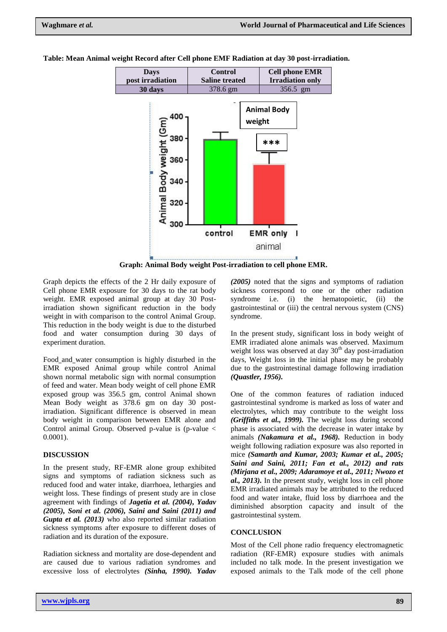

**Table: Mean Animal weight Record after Cell phone EMF Radiation at day 30 post-irradiation.**

**Graph: Animal Body weight Post-irradiation to cell phone EMR.**

Graph depicts the effects of the 2 Hr daily exposure of Cell phone EMR exposure for 30 days to the rat body weight. EMR exposed animal group at day 30 Postirradiation shown significant reduction in the body weight in with comparison to the control Animal Group. This reduction in the body weight is due to the disturbed food and water consumption during 30 days of experiment duration.

Food and water consumption is highly disturbed in the EMR exposed Animal group while control Animal shown normal metabolic sign with normal consumption of feed and water. Mean body weight of cell phone EMR exposed group was 356.5 gm, control Animal shown Mean Body weight as 378.6 gm on day 30 postirradiation. Significant difference is observed in mean body weight in comparison between EMR alone and Control animal Group. Observed p-value is (p-value  $\lt$ 0.0001).

#### **DISCUSSION**

In the present study, RF-EMR alone group exhibited signs and symptoms of radiation sickness such as reduced food and water intake, diarrhoea, lethargies and weight loss. These findings of present study are in close agreement with findings of *Jagetia et al. (2004), Yadav (2005), Soni et al. (2006), Saini and Saini (2011) and Gupta et al. (2013)* who also reported similar radiation sickness symptoms after exposure to different doses of radiation and its duration of the exposure.

Radiation sickness and mortality are dose-dependent and are caused due to various radiation syndromes and excessive loss of electrolytes *(Sinha, 1990). Yadav* 

*(2005)* noted that the signs and symptoms of radiation sickness correspond to one or the other radiation syndrome i.e. (i) the hematopoietic, (ii) the gastrointestinal or (iii) the central nervous system (CNS) syndrome.

In the present study, significant loss in body weight of EMR irradiated alone animals was observed. Maximum weight loss was observed at day  $30<sup>th</sup>$  day post-irradiation days, Weight loss in the initial phase may be probably due to the gastrointestinal damage following irradiation *(Quastler, 1956).* 

One of the common features of radiation induced gastrointestinal syndrome is marked as loss of water and electrolytes, which may contribute to the weight loss *(Griffiths et al., 1999).* The weight loss during second phase is associated with the decrease in water intake by animals *(Nakamura et al., 1968).* Reduction in body weight following radiation exposure was also reported in mice *(Samarth and Kumar, 2003; Kumar et al., 2005; Saini and Saini, 2011; Fan et al., 2012) and rats (Mirjana et al., 2009; Adaramoye et al., 2011; Nwozo et al., 2013).* In the present study, weight loss in cell phone EMR irradiated animals may be attributed to the reduced food and water intake, fluid loss by diarrhoea and the diminished absorption capacity and insult of the gastrointestinal system.

## **CONCLUSION**

Most of the Cell phone radio frequency electromagnetic radiation (RF-EMR) exposure studies with animals included no talk mode. In the present investigation we exposed animals to the Talk mode of the cell phone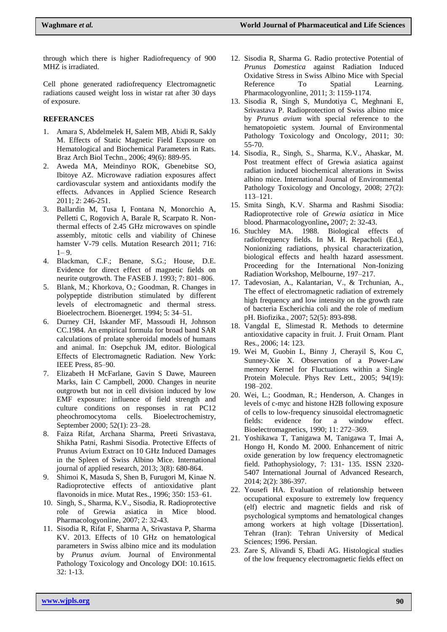through which there is higher Radiofrequency of 900 MHZ is irradiated.

Cell phone generated radiofrequency Electromagnetic radiations caused weight loss in wistar rat after 30 days of exposure.

## **REFERANCES**

- 1. Amara S, Abdelmelek H, Salem MB, Abidi R, Sakly M. Effects of Static Magnetic Field Exposure on Hematological and Biochemical Parameters in Rats. Braz Arch Biol Techn., 2006; 49(6): 889-95.
- 2. Aweda MA, Meindinyo ROK, Gbenebitse SO, Ibitoye AZ. Microwave radiation exposures affect cardiovascular system and antioxidants modify the effects. Advances in Applied Science Research 2011; 2: 246-251.
- 3. Ballardin M, Tusa I, Fontana N, Monorchio A, Pelletti C, Rogovich A, Barale R, Scarpato R. Nonthermal effects of 2.45 GHz microwaves on spindle assembly, mitotic cells and viability of Chinese hamster V-79 cells. Mutation Research 2011; 716:  $1 - 9$ .
- 4. Blackman, C.F.; Benane, S.G.; House, D.E. Evidence for direct effect of magnetic fields on neurite outgrowth. The FASEB J. 1993; 7: 801–806.
- 5. Blank, M.; Khorkova, O.; Goodman, R. Changes in polypeptide distribution stimulated by different levels of electromagnetic and thermal stress. Bioelectrochem. Bioenerget. 1994; 5: 34–51.
- 6. Durney CH, Iskander MF, Massoudi H, Johnson CC.1984. An empirical formula for broad band SAR calculations of prolate spheroidal models of humans and animal. In: Osepchuk JM, editor. Biological Effects of Electromagnetic Radiation. New York: IEEE Press, 85–90.
- 7. Elizabeth H McFarlane, Gavin S Dawe, Maureen Marks, Iain C Campbell, 2000. Changes in neurite outgrowth but not in cell division induced by low EMF exposure: influence of field strength and culture conditions on responses in rat PC12 pheochromocytoma cells. Bioelectrochemistry, September 2000; 52(1): 23–28.
- 8. Faiza Rifat, Archana Sharma, Preeti Srivastava, Shikha Patni, Rashmi Sisodia. Protective Effects of Prunus Avium Extract on 10 GHz Induced Damages in the Spleen of Swiss Albino Mice. International journal of applied research, 2013; 3(8): 680-864.
- 9. Shimoi K, Masuda S, Shen B, Furugori M, Kinae N. Radioprotective effects of antioxidative plant flavonoids in mice. Mutat Res., 1996; 350: 153–61.
- 10. Singh, S., Sharma, K.V., Sisodia, R. Radioprotective role of Grewia asiatica in Mice blood. Pharmacologyonline, 2007; 2: 32-43.
- 11. Sisodia R, Rifat F, Sharma A, Srivastava P, Sharma KV. 2013. Effects of 10 GHz on hematological parameters in Swiss albino mice and its modulation by *Prunus avium.* Journal of Environmental Pathology Toxicology and Oncology DOI: 10.1615. 32: 1-13.
- 12. Sisodia R, Sharma G. Radio protective Potential of *Prunus Domestica* against Radiation Induced Oxidative Stress in Swiss Albino Mice with Special Reference To Spatial Learning. Pharmacologyonline, 2011; 3: 1159-1174.
- 13. Sisodia R, Singh S, Mundotiya C, Meghnani E, Srivastava P. Radioprotection of Swiss albino mice by *Prunus avium* with special reference to the hematopoietic system. Journal of Environmental Pathology Toxicology and Oncology, 2011; 30: 55-70.
- 14. Sisodia, R., Singh, S., Sharma, K.V., Ahaskar, M. Post treatment effect of Grewia asiatica against radiation induced biochemical alterations in Swiss albino mice. International Journal of Environmental Pathology Toxicology and Oncology, 2008; 27(2): 113–121.
- 15. Smita Singh, K.V. Sharma and Rashmi Sisodia: Radioprotective role of *Grewia asiatica* in Mice blood. Pharmacologyonline**,** 2007; 2: 32-43.
- 16. Stuchley MA. 1988. Biological effects of radiofrequency fields. In M. H. Repacholi (Ed.), Nonionizing radiations, physical characterization, biological effects and health hazard assessment. Proceeding for the International Non-Ionizing Radiation Workshop, Melbourne, 197–217.
- 17. Tadevosian, A., Kalantarian, V., & Trchunian, A., The effect of electromagnetic radiation of extremely high frequency and low intensity on the growth rate of bacteria Escherichia coli and the role of medium pH. Biofizika., 2007; 52(5): 893-898.
- 18. Vangdal E, Slimestad R. Methods to determine antioxidative capacity in fruit. J. Fruit Ornam. Plant Res., 2006; 14: 123.
- 19. Wei M, Guobin L, Binny J, Cherayil S, Kou C, Sunney-Xie X. Observation of a Power-Law memory Kernel for Fluctuations within a Single Protein Molecule. Phys Rev Lett., 2005; 94(19): 198–202.
- 20. Wei, L.; Goodman, R.; Henderson, A. Changes in levels of c-myc and histone H2B following exposure of cells to low-frequency sinusoidal electromagnetic fields: evidence for a window effect. Bioelectromagnetics, 1990; 11: 272–369.
- 21. Yoshikawa T, Tanigawa M, Tanigawa T, Imai A, Hongo H, Kondo M. 2000. Enhancement of nitric oxide generation by low frequency electromagnetic field. Pathophysiology, 7: 131- 135. ISSN 2320- 5407 International Journal of Advanced Research, 2014; 2(2): 386-397.
- 22. Yousefi HA. Evaluation of relationship between occupational exposure to extremely low frequency (elf) electric and magnetic fields and risk of psychological symptoms and hematological changes among workers at high voltage [Dissertation]. Tehran (Iran): Tehran University of Medical Sciences; 1996. Persian.
- 23. Zare S, Alivandi S, Ebadi AG. Histological studies of the low frequency electromagnetic fields effect on